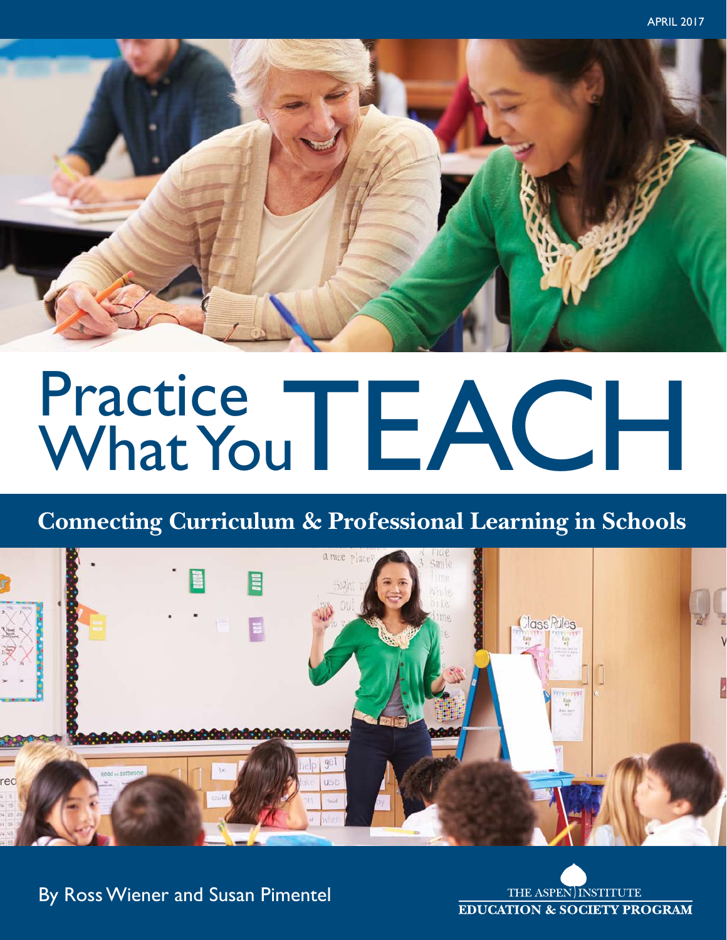

# Practice TEACH

# **Connecting Curriculum & Professional Learning in Schools**



THE ASPEN INSTITUTE **EDUCATION & SOCIETY PROGRAM** 

By Ross Wiener and Susan Pimentel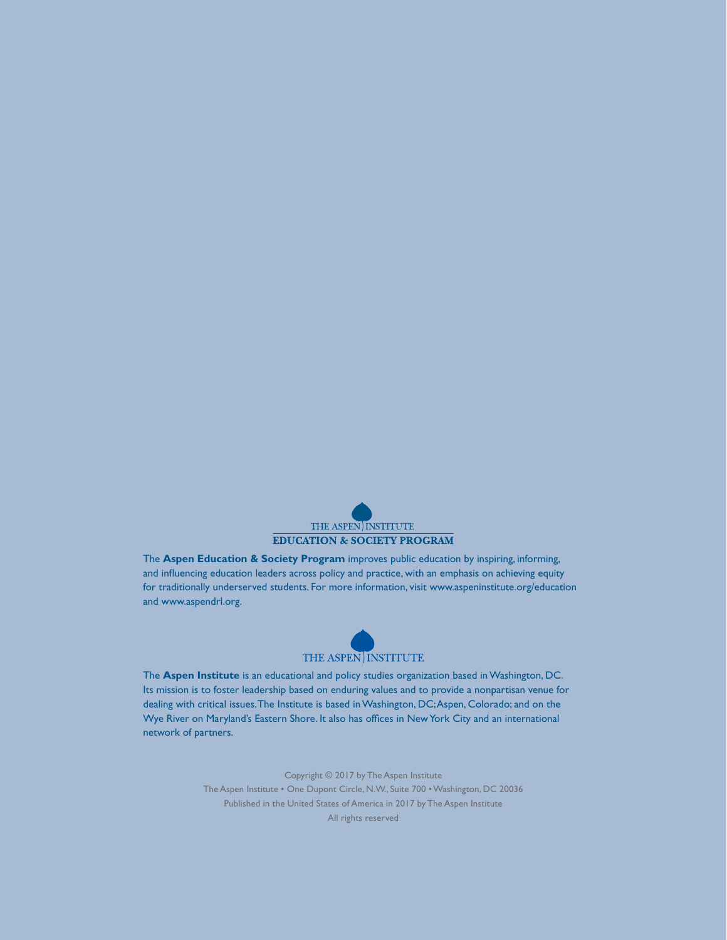

The **Aspen Education & Society Program** improves public education by inspiring, informing, and influencing education leaders across policy and practice, with an emphasis on achieving equity for traditionally underserved students. For more information, visit www.aspeninstitute.org/education and www.aspendrl.org.



The **Aspen Institute** is an educational and policy studies organization based in Washington, DC. Its mission is to foster leadership based on enduring values and to provide a nonpartisan venue for dealing with critical issues. The Institute is based in Washington, DC; Aspen, Colorado; and on the Wye River on Maryland's Eastern Shore. It also has offices in New York City and an international network of partners.

> Copyright © 2017 by The Aspen Institute The Aspen Institute • One Dupont Circle, N.W., Suite 700 • Washington, DC 20036 Published in the United States of America in 2017 by The Aspen Institute All rights reserved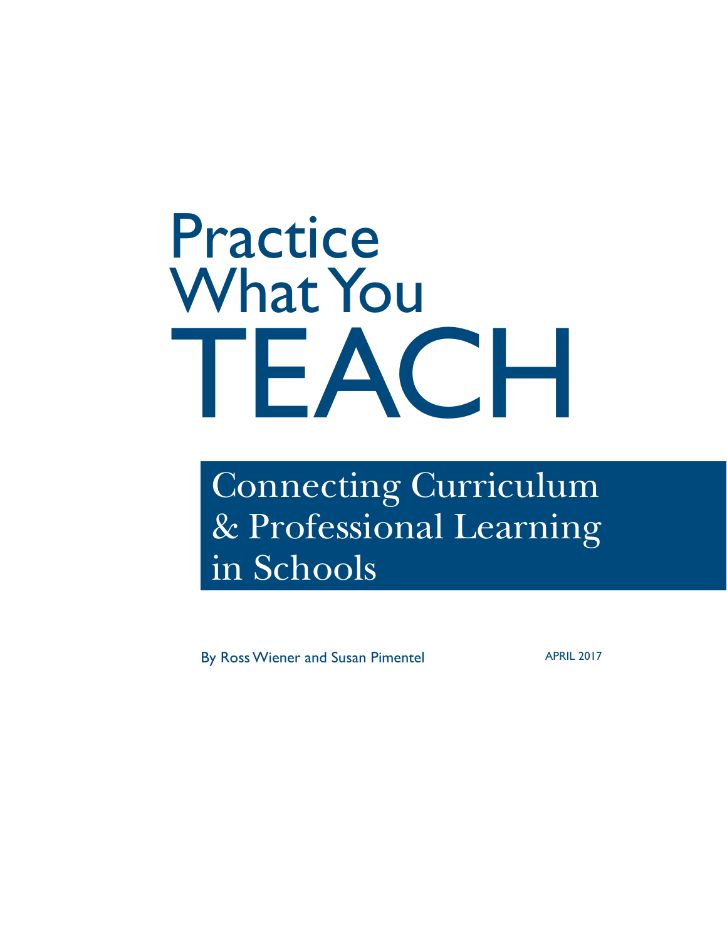# Practice What You TEACH

# Connecting Curriculum & Professional Learning in Schools

By Ross Wiener and Susan Pimentel APRIL 2017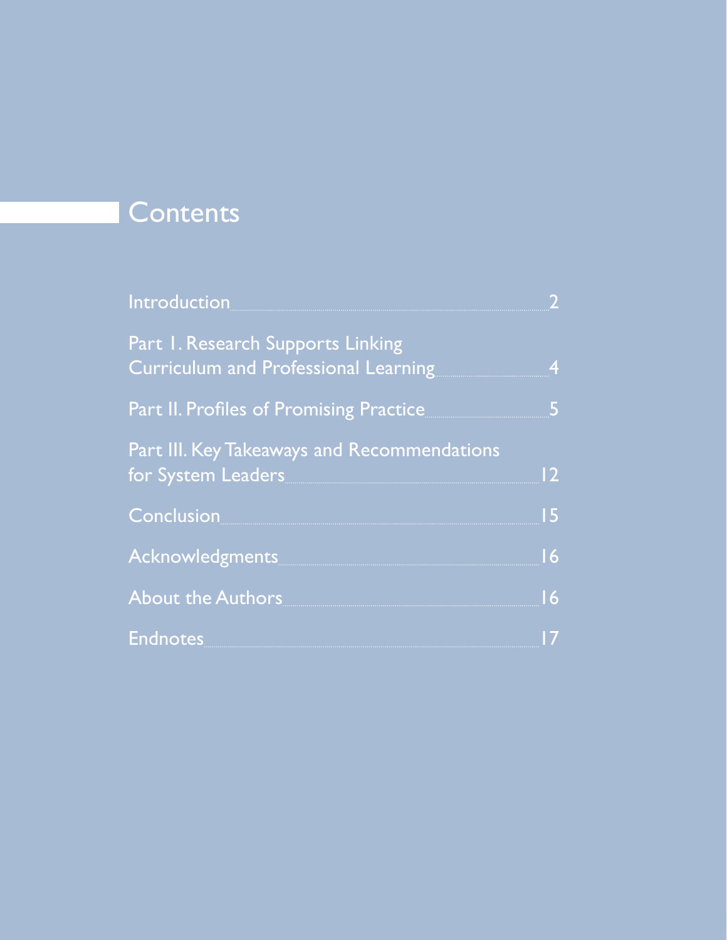# **Contents**

| <b>Introduction</b>                                                                                                                                           |    |
|---------------------------------------------------------------------------------------------------------------------------------------------------------------|----|
| Part 1. Research Supports Linking<br>Curriculum and Professional Learning                                                                                     | 4  |
| Part II. Profiles of Promising Practice                                                                                                                       | 5  |
| Part III. Key Takeaways and Recommendations<br>for System Leaders and the state of the state of the state of the state of the state of the state of the state | 12 |
| <b>Conclusion</b>                                                                                                                                             | 15 |
| <b>Acknowledgments</b>                                                                                                                                        | 16 |
| About the Authors                                                                                                                                             | 16 |
| Endnotes <b>Endnotes</b>                                                                                                                                      | 17 |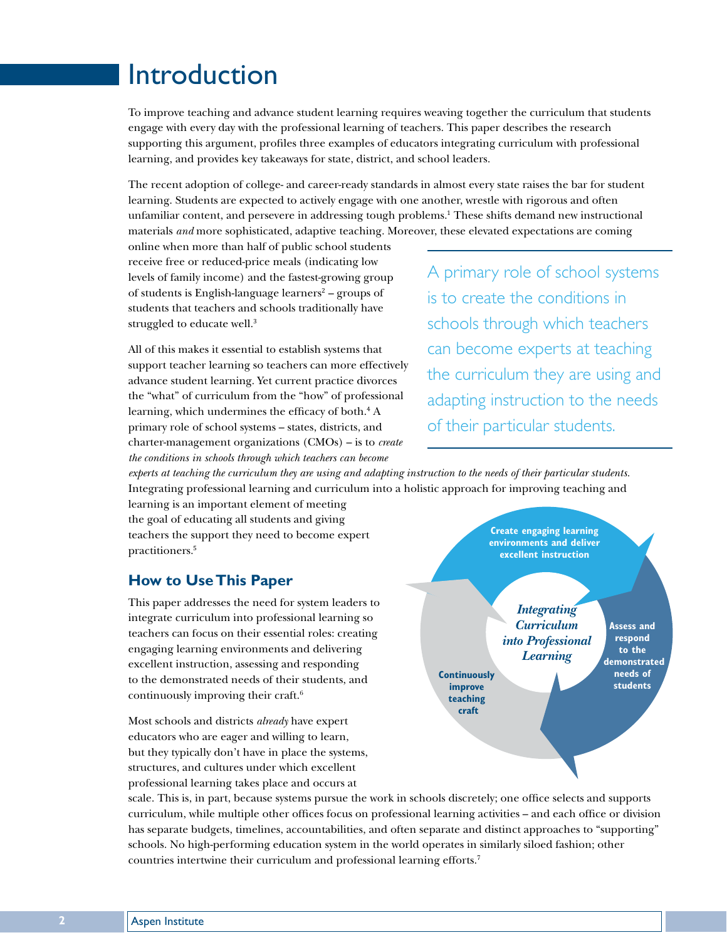# Introduction

To improve teaching and advance student learning requires weaving together the curriculum that students engage with every day with the professional learning of teachers. This paper describes the research supporting this argument, profiles three examples of educators integrating curriculum with professional learning, and provides key takeaways for state, district, and school leaders.

The recent adoption of college- and career-ready standards in almost every state raises the bar for student learning. Students are expected to actively engage with one another, wrestle with rigorous and often unfamiliar content, and persevere in addressing tough problems.<sup>1</sup> These shifts demand new instructional materials *and* more sophisticated, adaptive teaching. Moreover, these elevated expectations are coming

online when more than half of public school students receive free or reduced-price meals (indicating low levels of family income) and the fastest-growing group of students is English-language learners<sup>2</sup> – groups of students that teachers and schools traditionally have struggled to educate well.<sup>3</sup>

All of this makes it essential to establish systems that support teacher learning so teachers can more effectively advance student learning. Yet current practice divorces the "what" of curriculum from the "how" of professional learning, which undermines the efficacy of both.<sup>4</sup> A primary role of school systems – states, districts, and charter-management organizations (CMOs) – is to *create the conditions in schools through which teachers can become* 

A primary role of school systems is to create the conditions in schools through which teachers can become experts at teaching the curriculum they are using and adapting instruction to the needs of their particular students.

*experts at teaching the curriculum they are using and adapting instruction to the needs of their particular students.* Integrating professional learning and curriculum into a holistic approach for improving teaching and

learning is an important element of meeting the goal of educating all students and giving teachers the support they need to become expert practitioners.<sup>5</sup>

#### **How to Use This Paper**

This paper addresses the need for system leaders to integrate curriculum into professional learning so teachers can focus on their essential roles: creating engaging learning environments and delivering excellent instruction, assessing and responding to the demonstrated needs of their students, and continuously improving their craft.6

Most schools and districts *already* have expert educators who are eager and willing to learn, but they typically don't have in place the systems, structures, and cultures under which excellent professional learning takes place and occurs at



**Create engaging learning environments and deliver excellent instruction**

**Continuously improve teaching craft**

*Integrating Curriculum into Professional Learning* **Assess and respond to the demonstrated needs of students**

**2** Aspen Institute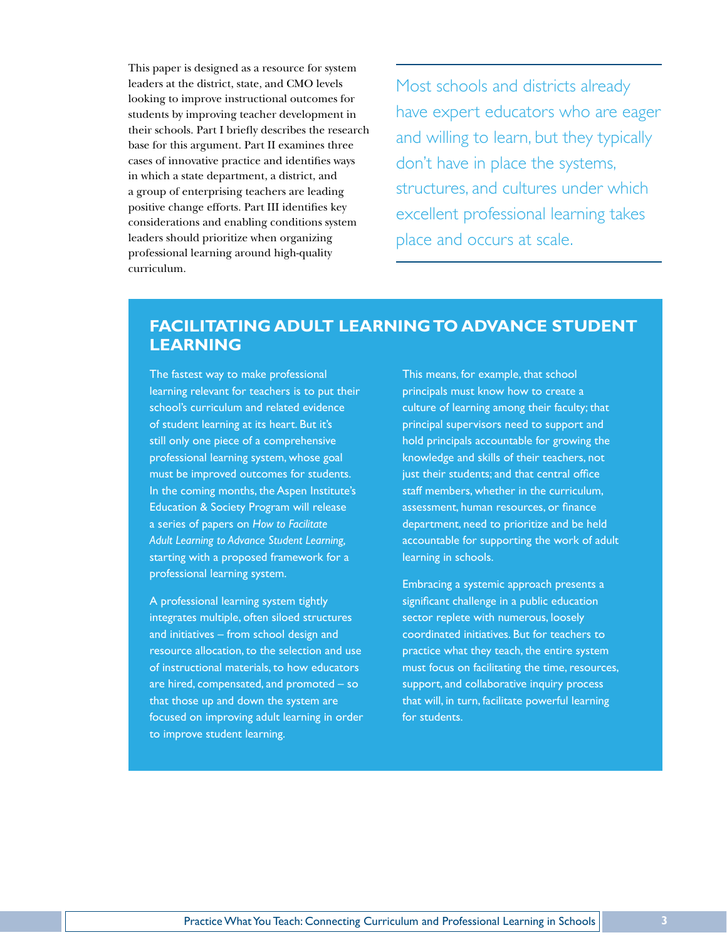This paper is designed as a resource for system leaders at the district, state, and CMO levels looking to improve instructional outcomes for students by improving teacher development in their schools. Part I briefly describes the research base for this argument. Part II examines three cases of innovative practice and identifies ways in which a state department, a district, and a group of enterprising teachers are leading positive change efforts. Part III identifies key considerations and enabling conditions system leaders should prioritize when organizing professional learning around high-quality curriculum.

Most schools and districts already have expert educators who are eager and willing to learn, but they typically don't have in place the systems, structures, and cultures under which excellent professional learning takes place and occurs at scale.

#### **FACILITATING ADULT LEARNING TO ADVANCE STUDENT LEARNING**

The fastest way to make professional learning relevant for teachers is to put their school's curriculum and related evidence of student learning at its heart. But it's still only one piece of a comprehensive professional learning system, whose goal must be improved outcomes for students. In the coming months, the Aspen Institute's Education & Society Program will release a series of papers on *How to Facilitate Adult Learning to Advance Student Learning,* starting with a proposed framework for a professional learning system.

A professional learning system tightly integrates multiple, often siloed structures and initiatives – from school design and resource allocation, to the selection and use of instructional materials, to how educators are hired, compensated, and promoted – so that those up and down the system are focused on improving adult learning in order to improve student learning.

This means, for example, that school principals must know how to create a culture of learning among their faculty; that principal supervisors need to support and hold principals accountable for growing the knowledge and skills of their teachers, not just their students; and that central office staff members, whether in the curriculum, assessment, human resources, or finance department, need to prioritize and be held accountable for supporting the work of adult learning in schools.

Embracing a systemic approach presents a significant challenge in a public education sector replete with numerous, loosely coordinated initiatives. But for teachers to practice what they teach, the entire system must focus on facilitating the time, resources, support, and collaborative inquiry process that will, in turn, facilitate powerful learning for students.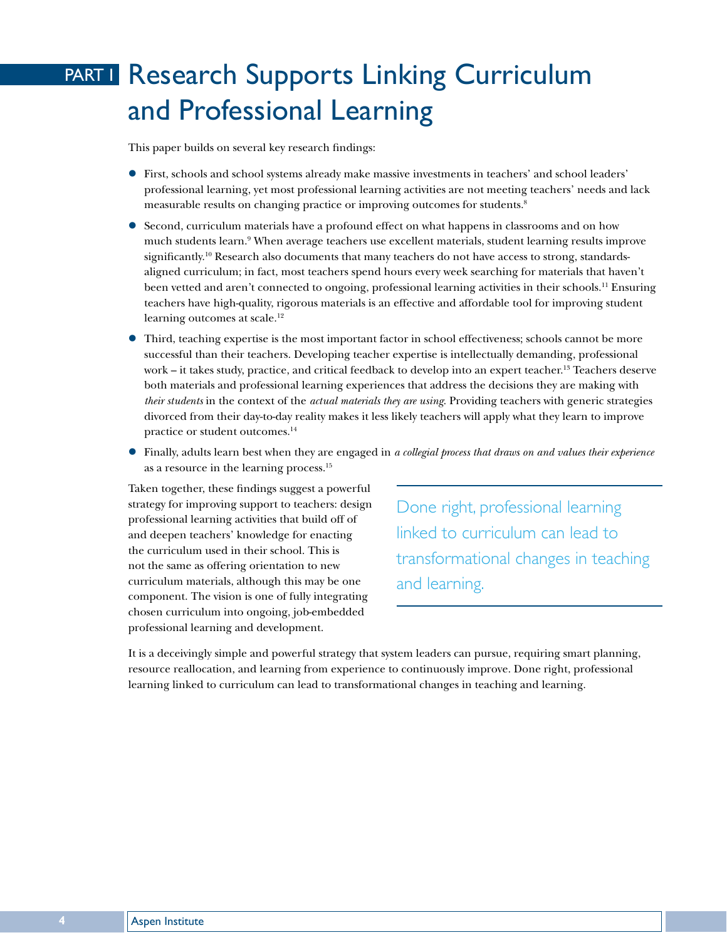# PART I Research Supports Linking Curriculum and Professional Learning

This paper builds on several key research findings:

- z First, schools and school systems already make massive investments in teachers' and school leaders' professional learning, yet most professional learning activities are not meeting teachers' needs and lack measurable results on changing practice or improving outcomes for students.8
- Second, curriculum materials have a profound effect on what happens in classrooms and on how much students learn.9 When average teachers use excellent materials, student learning results improve significantly.<sup>10</sup> Research also documents that many teachers do not have access to strong, standardsaligned curriculum; in fact, most teachers spend hours every week searching for materials that haven't been vetted and aren't connected to ongoing, professional learning activities in their schools.<sup>11</sup> Ensuring teachers have high-quality, rigorous materials is an effective and affordable tool for improving student learning outcomes at scale.<sup>12</sup>
- z Third, teaching expertise is the most important factor in school effectiveness; schools cannot be more successful than their teachers. Developing teacher expertise is intellectually demanding, professional work – it takes study, practice, and critical feedback to develop into an expert teacher.13 Teachers deserve both materials and professional learning experiences that address the decisions they are making with *their students* in the context of the *actual materials they are using*. Providing teachers with generic strategies divorced from their day-to-day reality makes it less likely teachers will apply what they learn to improve practice or student outcomes.14
- z Finally, adults learn best when they are engaged in *a collegial process that draws on and values their experience* as a resource in the learning process.15

Taken together, these findings suggest a powerful strategy for improving support to teachers: design professional learning activities that build off of and deepen teachers' knowledge for enacting the curriculum used in their school. This is not the same as offering orientation to new curriculum materials, although this may be one component. The vision is one of fully integrating chosen curriculum into ongoing, job-embedded professional learning and development.

Done right, professional learning linked to curriculum can lead to transformational changes in teaching and learning.

It is a deceivingly simple and powerful strategy that system leaders can pursue, requiring smart planning, resource reallocation, and learning from experience to continuously improve. Done right, professional learning linked to curriculum can lead to transformational changes in teaching and learning.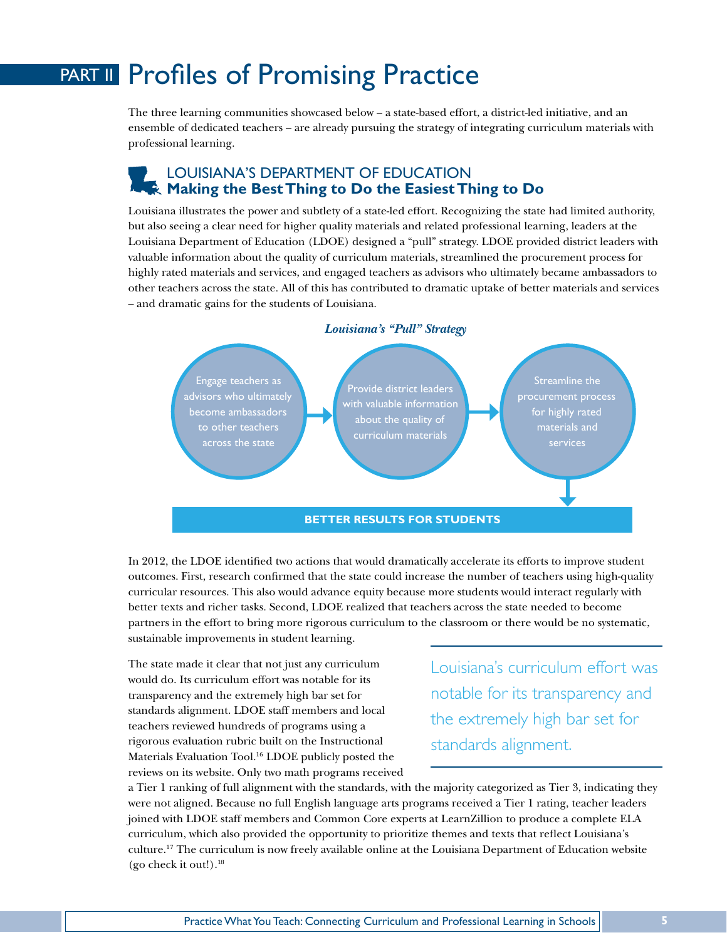# PART II Profiles of Promising Practice

The three learning communities showcased below – a state-based effort, a district-led initiative, and an ensemble of dedicated teachers – are already pursuing the strategy of integrating curriculum materials with professional learning.

#### LOUISIANA'S DEPARTMENT OF EDUCATION **Making the Best Thing to Do the Easiest Thing to Do**

Louisiana illustrates the power and subtlety of a state-led effort. Recognizing the state had limited authority, but also seeing a clear need for higher quality materials and related professional learning, leaders at the Louisiana Department of Education (LDOE) designed a "pull" strategy. LDOE provided district leaders with valuable information about the quality of curriculum materials, streamlined the procurement process for highly rated materials and services, and engaged teachers as advisors who ultimately became ambassadors to other teachers across the state. All of this has contributed to dramatic uptake of better materials and services – and dramatic gains for the students of Louisiana.



In 2012, the LDOE identified two actions that would dramatically accelerate its efforts to improve student outcomes. First, research confirmed that the state could increase the number of teachers using high-quality curricular resources. This also would advance equity because more students would interact regularly with better texts and richer tasks. Second, LDOE realized that teachers across the state needed to become partners in the effort to bring more rigorous curriculum to the classroom or there would be no systematic, sustainable improvements in student learning.

The state made it clear that not just any curriculum would do. Its curriculum effort was notable for its transparency and the extremely high bar set for standards alignment. LDOE staff members and local teachers reviewed hundreds of programs using a rigorous evaluation rubric built on the Instructional Materials Evaluation Tool.16 LDOE publicly posted the reviews on its website. Only two math programs received

Louisiana's curriculum effort was notable for its transparency and the extremely high bar set for standards alignment.

a Tier 1 ranking of full alignment with the standards, with the majority categorized as Tier 3, indicating they were not aligned. Because no full English language arts programs received a Tier 1 rating, teacher leaders joined with LDOE staff members and Common Core experts at LearnZillion to produce a complete ELA curriculum, which also provided the opportunity to prioritize themes and texts that reflect Louisiana's culture.17 The curriculum is now freely available online at the Louisiana Department of Education website (go check it out!). $^{18}$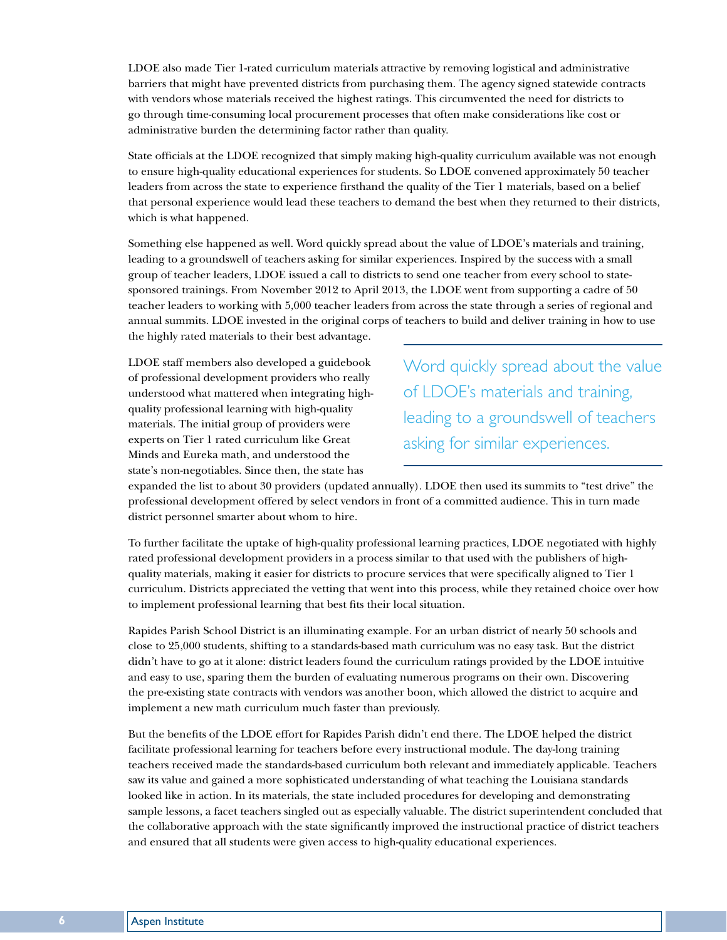LDOE also made Tier 1-rated curriculum materials attractive by removing logistical and administrative barriers that might have prevented districts from purchasing them. The agency signed statewide contracts with vendors whose materials received the highest ratings. This circumvented the need for districts to go through time-consuming local procurement processes that often make considerations like cost or administrative burden the determining factor rather than quality.

State officials at the LDOE recognized that simply making high-quality curriculum available was not enough to ensure high-quality educational experiences for students. So LDOE convened approximately 50 teacher leaders from across the state to experience firsthand the quality of the Tier 1 materials, based on a belief that personal experience would lead these teachers to demand the best when they returned to their districts, which is what happened.

Something else happened as well. Word quickly spread about the value of LDOE's materials and training, leading to a groundswell of teachers asking for similar experiences. Inspired by the success with a small group of teacher leaders, LDOE issued a call to districts to send one teacher from every school to statesponsored trainings. From November 2012 to April 2013, the LDOE went from supporting a cadre of 50 teacher leaders to working with 5,000 teacher leaders from across the state through a series of regional and annual summits. LDOE invested in the original corps of teachers to build and deliver training in how to use the highly rated materials to their best advantage.

LDOE staff members also developed a guidebook of professional development providers who really understood what mattered when integrating highquality professional learning with high-quality materials. The initial group of providers were experts on Tier 1 rated curriculum like Great Minds and Eureka math, and understood the state's non-negotiables. Since then, the state has

Word quickly spread about the value of LDOE's materials and training, leading to a groundswell of teachers asking for similar experiences.

expanded the list to about 30 providers (updated annually). LDOE then used its summits to "test drive" the professional development offered by select vendors in front of a committed audience. This in turn made district personnel smarter about whom to hire.

To further facilitate the uptake of high-quality professional learning practices, LDOE negotiated with highly rated professional development providers in a process similar to that used with the publishers of highquality materials, making it easier for districts to procure services that were specifically aligned to Tier 1 curriculum. Districts appreciated the vetting that went into this process, while they retained choice over how to implement professional learning that best fits their local situation.

Rapides Parish School District is an illuminating example. For an urban district of nearly 50 schools and close to 25,000 students, shifting to a standards-based math curriculum was no easy task. But the district didn't have to go at it alone: district leaders found the curriculum ratings provided by the LDOE intuitive and easy to use, sparing them the burden of evaluating numerous programs on their own. Discovering the pre-existing state contracts with vendors was another boon, which allowed the district to acquire and implement a new math curriculum much faster than previously.

But the benefits of the LDOE effort for Rapides Parish didn't end there. The LDOE helped the district facilitate professional learning for teachers before every instructional module. The day-long training teachers received made the standards-based curriculum both relevant and immediately applicable. Teachers saw its value and gained a more sophisticated understanding of what teaching the Louisiana standards looked like in action. In its materials, the state included procedures for developing and demonstrating sample lessons, a facet teachers singled out as especially valuable. The district superintendent concluded that the collaborative approach with the state significantly improved the instructional practice of district teachers and ensured that all students were given access to high-quality educational experiences.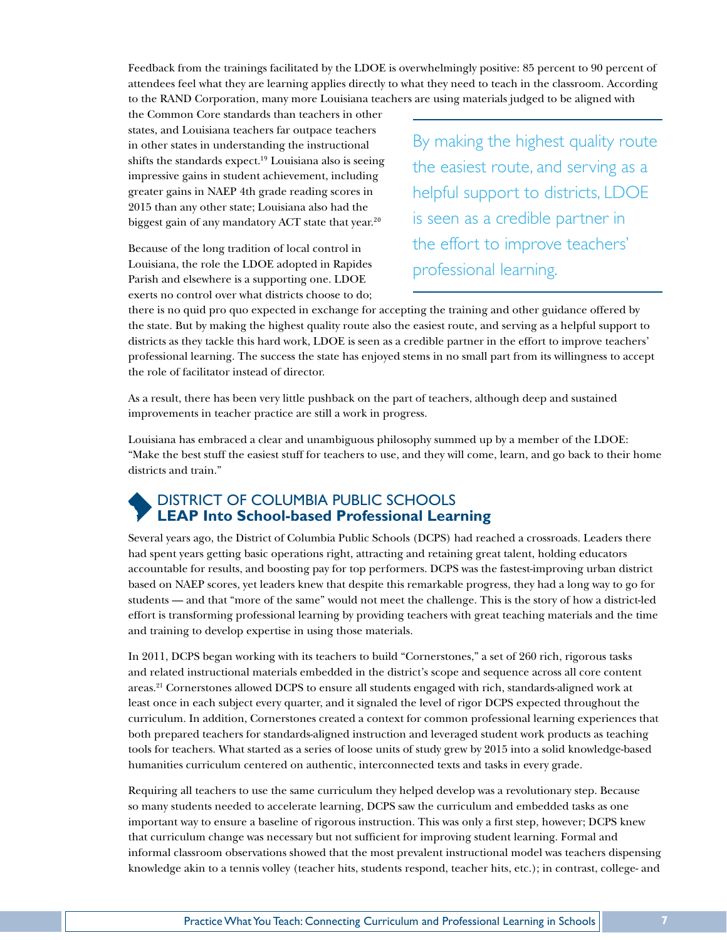Feedback from the trainings facilitated by the LDOE is overwhelmingly positive: 85 percent to 90 percent of attendees feel what they are learning applies directly to what they need to teach in the classroom. According to the RAND Corporation, many more Louisiana teachers are using materials judged to be aligned with

the Common Core standards than teachers in other states, and Louisiana teachers far outpace teachers in other states in understanding the instructional shifts the standards expect.<sup>19</sup> Louisiana also is seeing impressive gains in student achievement, including greater gains in NAEP 4th grade reading scores in 2015 than any other state; Louisiana also had the biggest gain of any mandatory ACT state that year.<sup>20</sup>

Because of the long tradition of local control in Louisiana, the role the LDOE adopted in Rapides Parish and elsewhere is a supporting one. LDOE exerts no control over what districts choose to do; By making the highest quality route the easiest route, and serving as a helpful support to districts, LDOE is seen as a credible partner in the effort to improve teachers' professional learning.

there is no quid pro quo expected in exchange for accepting the training and other guidance offered by the state. But by making the highest quality route also the easiest route, and serving as a helpful support to districts as they tackle this hard work, LDOE is seen as a credible partner in the effort to improve teachers' professional learning. The success the state has enjoyed stems in no small part from its willingness to accept the role of facilitator instead of director.

As a result, there has been very little pushback on the part of teachers, although deep and sustained improvements in teacher practice are still a work in progress.

Louisiana has embraced a clear and unambiguous philosophy summed up by a member of the LDOE: "Make the best stuff the easiest stuff for teachers to use, and they will come, learn, and go back to their home districts and train."

#### DISTRICT OF COLUMBIA PUBLIC SCHOOLS **LEAP Into School-based Professional Learning**

Several years ago, the District of Columbia Public Schools (DCPS) had reached a crossroads. Leaders there had spent years getting basic operations right, attracting and retaining great talent, holding educators accountable for results, and boosting pay for top performers. DCPS was the fastest-improving urban district based on NAEP scores, yet leaders knew that despite this remarkable progress, they had a long way to go for students — and that "more of the same" would not meet the challenge. This is the story of how a district-led effort is transforming professional learning by providing teachers with great teaching materials and the time and training to develop expertise in using those materials.

In 2011, DCPS began working with its teachers to build "Cornerstones," a set of 260 rich, rigorous tasks and related instructional materials embedded in the district's scope and sequence across all core content areas.21 Cornerstones allowed DCPS to ensure all students engaged with rich, standards-aligned work at least once in each subject every quarter, and it signaled the level of rigor DCPS expected throughout the curriculum. In addition, Cornerstones created a context for common professional learning experiences that both prepared teachers for standards-aligned instruction and leveraged student work products as teaching tools for teachers. What started as a series of loose units of study grew by 2015 into a solid knowledge-based humanities curriculum centered on authentic, interconnected texts and tasks in every grade.

Requiring all teachers to use the same curriculum they helped develop was a revolutionary step. Because so many students needed to accelerate learning, DCPS saw the curriculum and embedded tasks as one important way to ensure a baseline of rigorous instruction. This was only a first step, however; DCPS knew that curriculum change was necessary but not sufficient for improving student learning. Formal and informal classroom observations showed that the most prevalent instructional model was teachers dispensing knowledge akin to a tennis volley (teacher hits, students respond, teacher hits, etc.); in contrast, college- and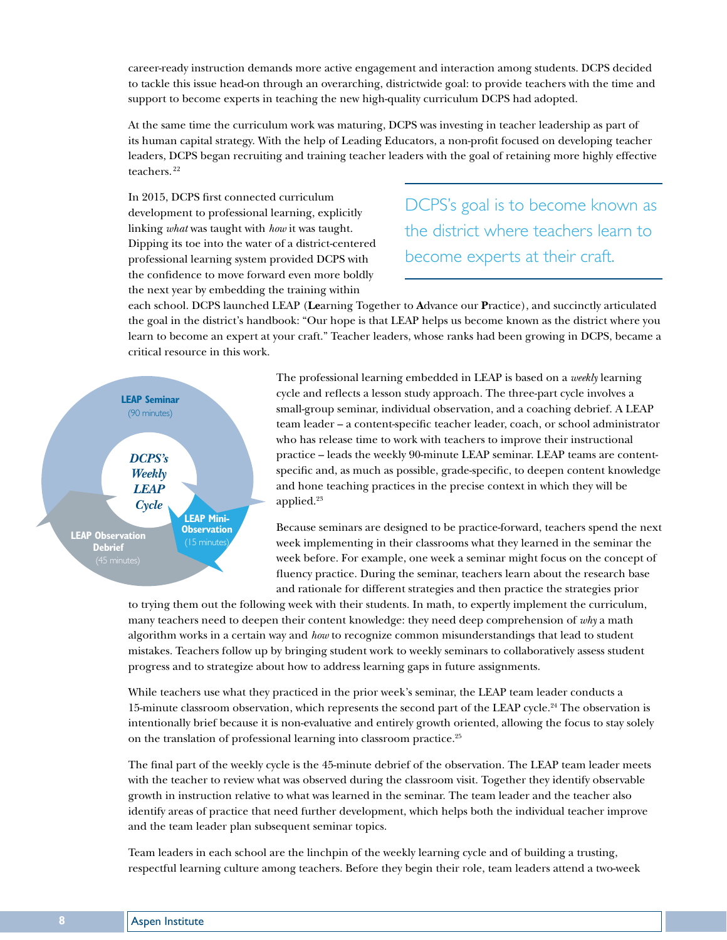career-ready instruction demands more active engagement and interaction among students. DCPS decided to tackle this issue head-on through an overarching, districtwide goal: to provide teachers with the time and support to become experts in teaching the new high-quality curriculum DCPS had adopted.

At the same time the curriculum work was maturing, DCPS was investing in teacher leadership as part of its human capital strategy. With the help of Leading Educators, a non-profit focused on developing teacher leaders, DCPS began recruiting and training teacher leaders with the goal of retaining more highly effective teachers.<sup>22</sup>

In 2015, DCPS first connected curriculum development to professional learning, explicitly linking *what* was taught with *how* it was taught. Dipping its toe into the water of a district-centered professional learning system provided DCPS with the confidence to move forward even more boldly the next year by embedding the training within

DCPS's goal is to become known as the district where teachers learn to become experts at their craft.

each school. DCPS launched LEAP (**Le**arning Together to **A**dvance our **P**ractice), and succinctly articulated the goal in the district's handbook: "Our hope is that LEAP helps us become known as the district where you learn to become an expert at your craft." Teacher leaders, whose ranks had been growing in DCPS, became a critical resource in this work.



The professional learning embedded in LEAP is based on a *weekly* learning cycle and reflects a lesson study approach. The three-part cycle involves a small-group seminar, individual observation, and a coaching debrief. A LEAP team leader – a content-specific teacher leader, coach, or school administrator who has release time to work with teachers to improve their instructional practice – leads the weekly 90-minute LEAP seminar. LEAP teams are contentspecific and, as much as possible, grade-specific, to deepen content knowledge and hone teaching practices in the precise context in which they will be applied.<sup>23</sup>

Because seminars are designed to be practice-forward, teachers spend the next week implementing in their classrooms what they learned in the seminar the week before. For example, one week a seminar might focus on the concept of fluency practice. During the seminar, teachers learn about the research base and rationale for different strategies and then practice the strategies prior

to trying them out the following week with their students. In math, to expertly implement the curriculum, many teachers need to deepen their content knowledge: they need deep comprehension of *why* a math algorithm works in a certain way and *how* to recognize common misunderstandings that lead to student mistakes. Teachers follow up by bringing student work to weekly seminars to collaboratively assess student progress and to strategize about how to address learning gaps in future assignments.

While teachers use what they practiced in the prior week's seminar, the LEAP team leader conducts a 15-minute classroom observation, which represents the second part of the LEAP cycle.<sup>24</sup> The observation is intentionally brief because it is non-evaluative and entirely growth oriented, allowing the focus to stay solely on the translation of professional learning into classroom practice.25

The final part of the weekly cycle is the 45-minute debrief of the observation. The LEAP team leader meets with the teacher to review what was observed during the classroom visit. Together they identify observable growth in instruction relative to what was learned in the seminar. The team leader and the teacher also identify areas of practice that need further development, which helps both the individual teacher improve and the team leader plan subsequent seminar topics.

Team leaders in each school are the linchpin of the weekly learning cycle and of building a trusting, respectful learning culture among teachers. Before they begin their role, team leaders attend a two-week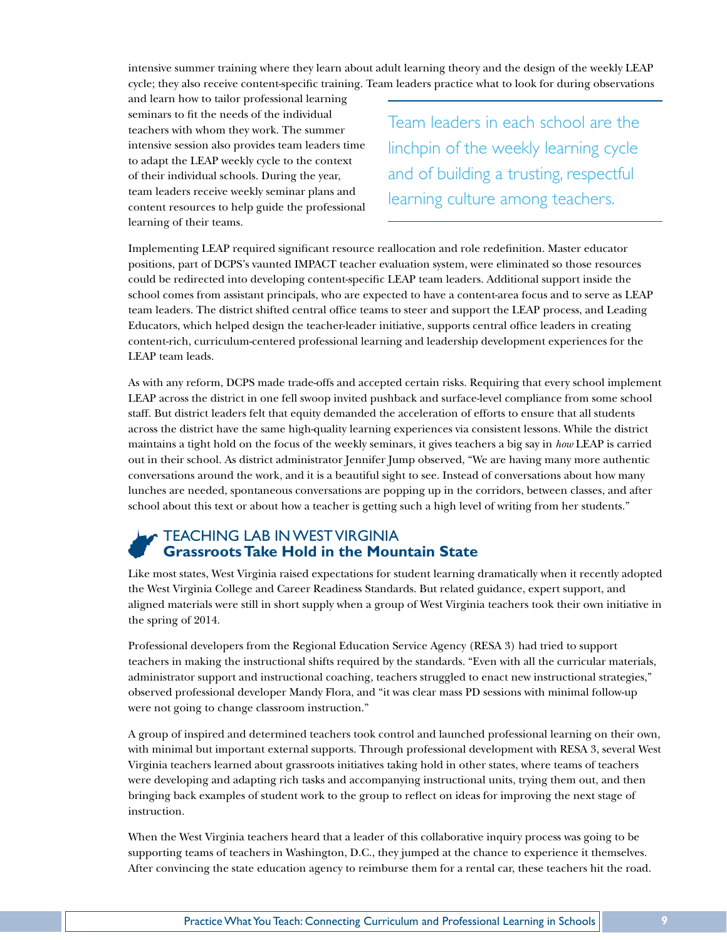intensive summer training where they learn about adult learning theory and the design of the weekly LEAP cycle; they also receive content-specific training. Team leaders practice what to look for during observations

and learn how to tailor professional learning seminars to fit the needs of the individual teachers with whom they work. The summer intensive session also provides team leaders time to adapt the LEAP weekly cycle to the context of their individual schools. During the year, team leaders receive weekly seminar plans and content resources to help guide the professional learning of their teams.

Team leaders in each school are the linchpin of the weekly learning cycle and of building a trusting, respectful learning culture among teachers.

Implementing LEAP required significant resource reallocation and role redefinition. Master educator positions, part of DCPS's vaunted IMPACT teacher evaluation system, were eliminated so those resources could be redirected into developing content-specific LEAP team leaders. Additional support inside the school comes from assistant principals, who are expected to have a content-area focus and to serve as LEAP team leaders. The district shifted central office teams to steer and support the LEAP process, and Leading Educators, which helped design the teacher-leader initiative, supports central office leaders in creating content-rich, curriculum-centered professional learning and leadership development experiences for the LEAP team leads.

As with any reform, DCPS made trade-offs and accepted certain risks. Requiring that every school implement LEAP across the district in one fell swoop invited pushback and surface-level compliance from some school staff. But district leaders felt that equity demanded the acceleration of efforts to ensure that all students across the district have the same high-quality learning experiences via consistent lessons. While the district maintains a tight hold on the focus of the weekly seminars, it gives teachers a big say in *how* LEAP is carried out in their school. As district administrator Jennifer Jump observed, "We are having many more authentic conversations around the work, and it is a beautiful sight to see. Instead of conversations about how many lunches are needed, spontaneous conversations are popping up in the corridors, between classes, and after school about this text or about how a teacher is getting such a high level of writing from her students."

#### TEACHING LAB IN WEST VIRGINIA **Grassroots Take Hold in the Mountain State**

Like most states, West Virginia raised expectations for student learning dramatically when it recently adopted the West Virginia College and Career Readiness Standards. But related guidance, expert support, and aligned materials were still in short supply when a group of West Virginia teachers took their own initiative in the spring of 2014.

Professional developers from the Regional Education Service Agency (RESA 3) had tried to support teachers in making the instructional shifts required by the standards. "Even with all the curricular materials, administrator support and instructional coaching, teachers struggled to enact new instructional strategies," observed professional developer Mandy Flora, and "it was clear mass PD sessions with minimal follow-up were not going to change classroom instruction."

A group of inspired and determined teachers took control and launched professional learning on their own, with minimal but important external supports. Through professional development with RESA 3, several West Virginia teachers learned about grassroots initiatives taking hold in other states, where teams of teachers were developing and adapting rich tasks and accompanying instructional units, trying them out, and then bringing back examples of student work to the group to reflect on ideas for improving the next stage of instruction.

When the West Virginia teachers heard that a leader of this collaborative inquiry process was going to be supporting teams of teachers in Washington, D.C., they jumped at the chance to experience it themselves. After convincing the state education agency to reimburse them for a rental car, these teachers hit the road.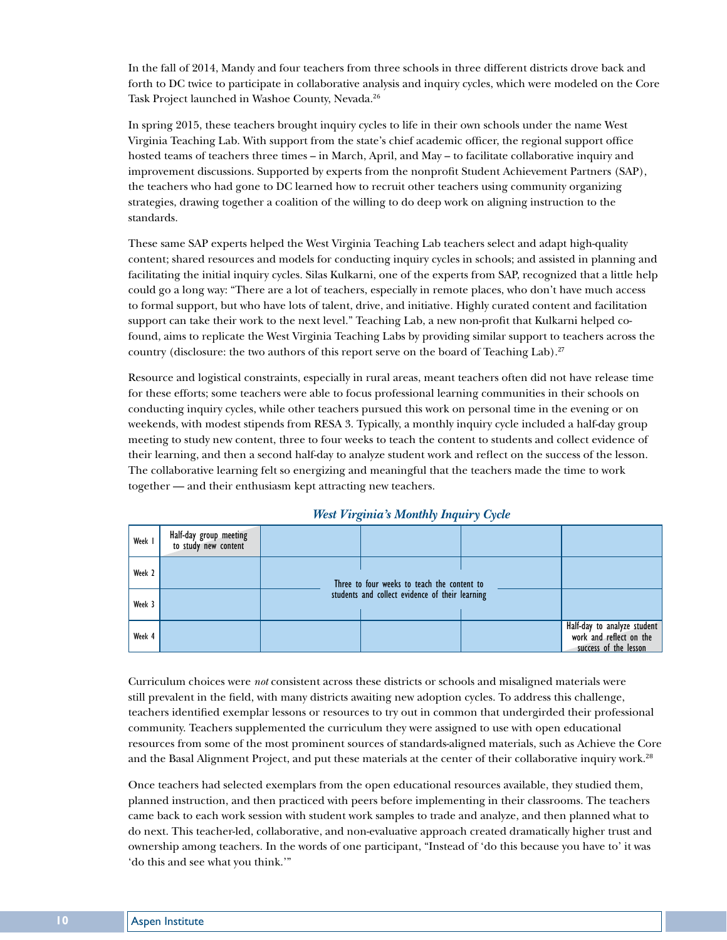In the fall of 2014, Mandy and four teachers from three schools in three different districts drove back and forth to DC twice to participate in collaborative analysis and inquiry cycles, which were modeled on the Core Task Project launched in Washoe County, Nevada.<sup>26</sup>

In spring 2015, these teachers brought inquiry cycles to life in their own schools under the name West Virginia Teaching Lab. With support from the state's chief academic officer, the regional support office hosted teams of teachers three times – in March, April, and May – to facilitate collaborative inquiry and improvement discussions. Supported by experts from the nonprofit Student Achievement Partners (SAP), the teachers who had gone to DC learned how to recruit other teachers using community organizing strategies, drawing together a coalition of the willing to do deep work on aligning instruction to the standards.

These same SAP experts helped the West Virginia Teaching Lab teachers select and adapt high-quality content; shared resources and models for conducting inquiry cycles in schools; and assisted in planning and facilitating the initial inquiry cycles. Silas Kulkarni, one of the experts from SAP, recognized that a little help could go a long way: "There are a lot of teachers, especially in remote places, who don't have much access to formal support, but who have lots of talent, drive, and initiative. Highly curated content and facilitation support can take their work to the next level." Teaching Lab, a new non-profit that Kulkarni helped cofound, aims to replicate the West Virginia Teaching Labs by providing similar support to teachers across the country (disclosure: the two authors of this report serve on the board of Teaching Lab).<sup>27</sup>

Resource and logistical constraints, especially in rural areas, meant teachers often did not have release time for these efforts; some teachers were able to focus professional learning communities in their schools on conducting inquiry cycles, while other teachers pursued this work on personal time in the evening or on weekends, with modest stipends from RESA 3. Typically, a monthly inquiry cycle included a half-day group meeting to study new content, three to four weeks to teach the content to students and collect evidence of their learning, and then a second half-day to analyze student work and reflect on the success of the lesson. The collaborative learning felt so energizing and meaningful that the teachers made the time to work together — and their enthusiasm kept attracting new teachers.

| Week 1 | Half-day group meeting<br>to study new content |                                                 |                                             |  |                                                                                 |
|--------|------------------------------------------------|-------------------------------------------------|---------------------------------------------|--|---------------------------------------------------------------------------------|
| Week 2 |                                                |                                                 | Three to four weeks to teach the content to |  |                                                                                 |
| Week 3 |                                                | students and collect evidence of their learning |                                             |  |                                                                                 |
| Week 4 |                                                |                                                 |                                             |  | Half-day to analyze student<br>work and reflect on the<br>success of the lesson |

#### *West Virginia's Monthly Inquiry Cycle*

Curriculum choices were *not* consistent across these districts or schools and misaligned materials were still prevalent in the field, with many districts awaiting new adoption cycles. To address this challenge, teachers identified exemplar lessons or resources to try out in common that undergirded their professional community. Teachers supplemented the curriculum they were assigned to use with open educational resources from some of the most prominent sources of standards-aligned materials, such as Achieve the Core and the Basal Alignment Project, and put these materials at the center of their collaborative inquiry work.<sup>28</sup>

Once teachers had selected exemplars from the open educational resources available, they studied them, planned instruction, and then practiced with peers before implementing in their classrooms. The teachers came back to each work session with student work samples to trade and analyze, and then planned what to do next. This teacher-led, collaborative, and non-evaluative approach created dramatically higher trust and ownership among teachers. In the words of one participant, "Instead of 'do this because you have to' it was 'do this and see what you think.'"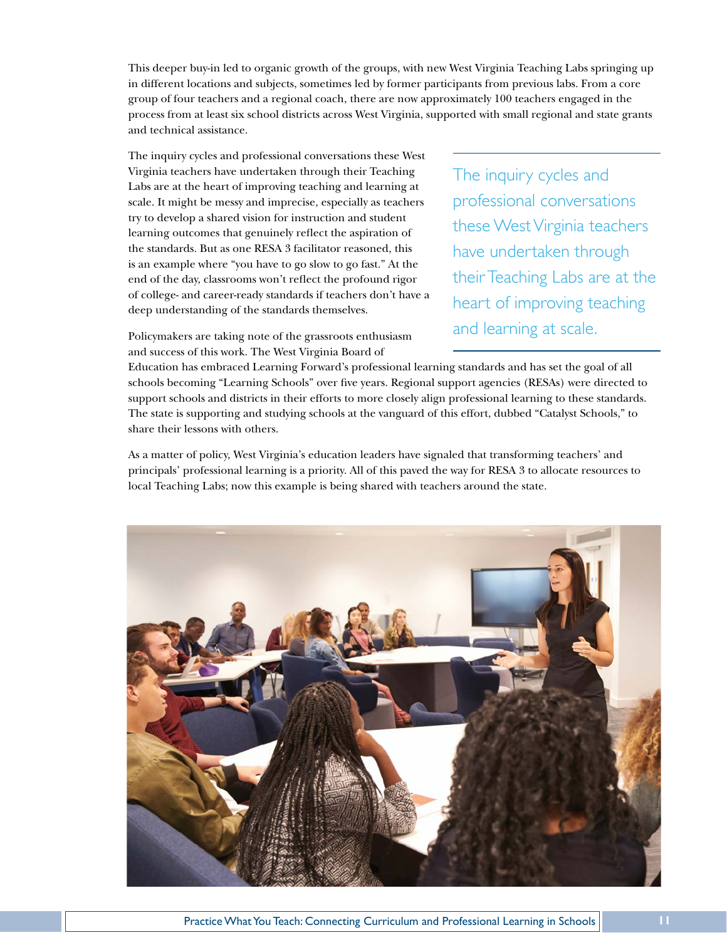This deeper buy-in led to organic growth of the groups, with new West Virginia Teaching Labs springing up in different locations and subjects, sometimes led by former participants from previous labs. From a core group of four teachers and a regional coach, there are now approximately 100 teachers engaged in the process from at least six school districts across West Virginia, supported with small regional and state grants and technical assistance.

The inquiry cycles and professional conversations these West Virginia teachers have undertaken through their Teaching Labs are at the heart of improving teaching and learning at scale. It might be messy and imprecise, especially as teachers try to develop a shared vision for instruction and student learning outcomes that genuinely reflect the aspiration of the standards. But as one RESA 3 facilitator reasoned, this is an example where "you have to go slow to go fast." At the end of the day, classrooms won't reflect the profound rigor of college- and career-ready standards if teachers don't have a deep understanding of the standards themselves.

The inquiry cycles and professional conversations these West Virginia teachers have undertaken through their Teaching Labs are at the heart of improving teaching and learning at scale.

Policymakers are taking note of the grassroots enthusiasm and success of this work. The West Virginia Board of

Education has embraced Learning Forward's professional learning standards and has set the goal of all schools becoming "Learning Schools" over five years. Regional support agencies (RESAs) were directed to support schools and districts in their efforts to more closely align professional learning to these standards. The state is supporting and studying schools at the vanguard of this effort, dubbed "Catalyst Schools," to share their lessons with others.

As a matter of policy, West Virginia's education leaders have signaled that transforming teachers' and principals' professional learning is a priority. All of this paved the way for RESA 3 to allocate resources to local Teaching Labs; now this example is being shared with teachers around the state.

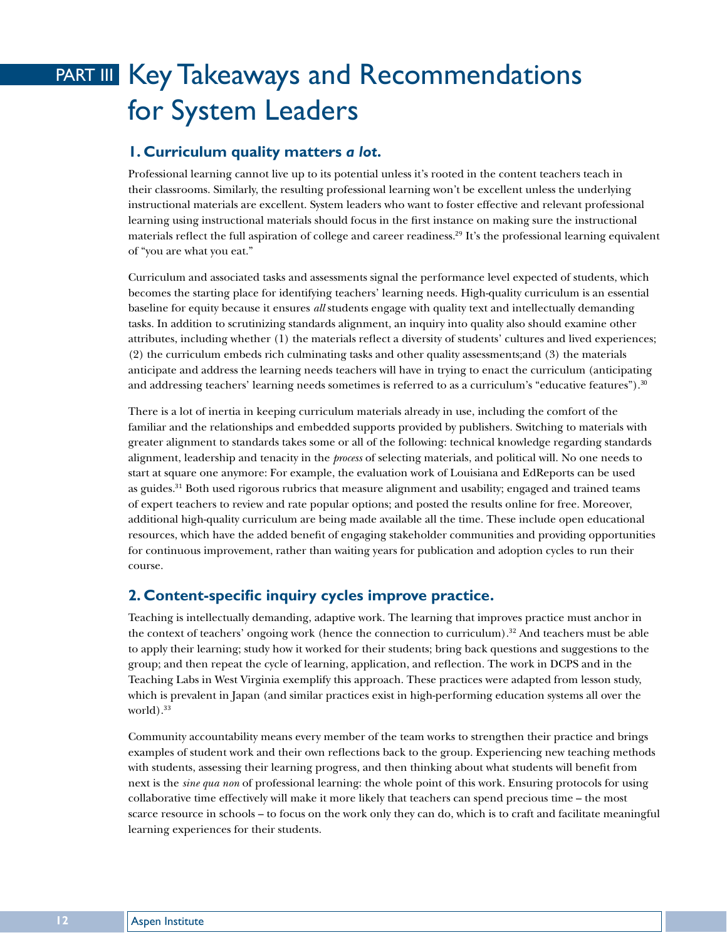# PART III Key Takeaways and Recommendations for System Leaders

#### **1. Curriculum quality matters** *a lot***.**

Professional learning cannot live up to its potential unless it's rooted in the content teachers teach in their classrooms. Similarly, the resulting professional learning won't be excellent unless the underlying instructional materials are excellent. System leaders who want to foster effective and relevant professional learning using instructional materials should focus in the first instance on making sure the instructional materials reflect the full aspiration of college and career readiness.<sup>29</sup> It's the professional learning equivalent of "you are what you eat."

Curriculum and associated tasks and assessments signal the performance level expected of students, which becomes the starting place for identifying teachers' learning needs. High-quality curriculum is an essential baseline for equity because it ensures *all* students engage with quality text and intellectually demanding tasks. In addition to scrutinizing standards alignment, an inquiry into quality also should examine other attributes, including whether (1) the materials reflect a diversity of students' cultures and lived experiences; (2) the curriculum embeds rich culminating tasks and other quality assessments;and (3) the materials anticipate and address the learning needs teachers will have in trying to enact the curriculum (anticipating and addressing teachers' learning needs sometimes is referred to as a curriculum's "educative features").<sup>30</sup>

There is a lot of inertia in keeping curriculum materials already in use, including the comfort of the familiar and the relationships and embedded supports provided by publishers. Switching to materials with greater alignment to standards takes some or all of the following: technical knowledge regarding standards alignment, leadership and tenacity in the *process* of selecting materials, and political will. No one needs to start at square one anymore: For example, the evaluation work of Louisiana and EdReports can be used as guides.<sup>31</sup> Both used rigorous rubrics that measure alignment and usability; engaged and trained teams of expert teachers to review and rate popular options; and posted the results online for free. Moreover, additional high-quality curriculum are being made available all the time. These include open educational resources, which have the added benefit of engaging stakeholder communities and providing opportunities for continuous improvement, rather than waiting years for publication and adoption cycles to run their course.

#### **2. Content-specific inquiry cycles improve practice.**

Teaching is intellectually demanding, adaptive work. The learning that improves practice must anchor in the context of teachers' ongoing work (hence the connection to curriculum).<sup>32</sup> And teachers must be able to apply their learning; study how it worked for their students; bring back questions and suggestions to the group; and then repeat the cycle of learning, application, and reflection. The work in DCPS and in the Teaching Labs in West Virginia exemplify this approach. These practices were adapted from lesson study, which is prevalent in Japan (and similar practices exist in high-performing education systems all over the world $).$ <sup>33</sup>

Community accountability means every member of the team works to strengthen their practice and brings examples of student work and their own reflections back to the group. Experiencing new teaching methods with students, assessing their learning progress, and then thinking about what students will benefit from next is the *sine qua non* of professional learning: the whole point of this work. Ensuring protocols for using collaborative time effectively will make it more likely that teachers can spend precious time – the most scarce resource in schools – to focus on the work only they can do, which is to craft and facilitate meaningful learning experiences for their students.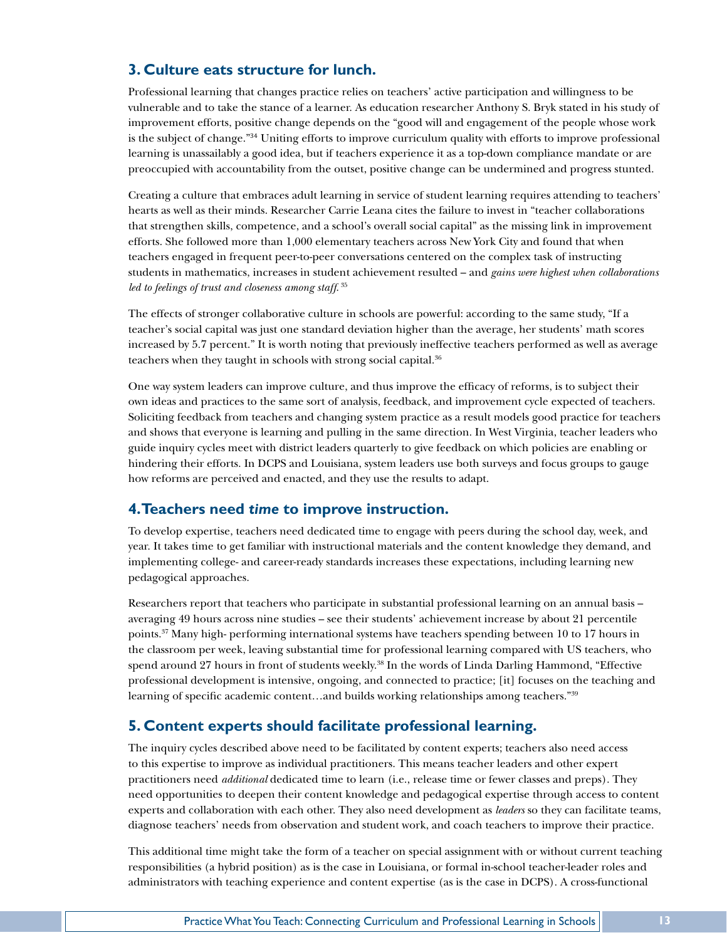#### **3. Culture eats structure for lunch.**

Professional learning that changes practice relies on teachers' active participation and willingness to be vulnerable and to take the stance of a learner. As education researcher Anthony S. Bryk stated in his study of improvement efforts, positive change depends on the "good will and engagement of the people whose work is the subject of change."<sup>34</sup> Uniting efforts to improve curriculum quality with efforts to improve professional learning is unassailably a good idea, but if teachers experience it as a top-down compliance mandate or are preoccupied with accountability from the outset, positive change can be undermined and progress stunted.

Creating a culture that embraces adult learning in service of student learning requires attending to teachers' hearts as well as their minds. Researcher Carrie Leana cites the failure to invest in "teacher collaborations that strengthen skills, competence, and a school's overall social capital" as the missing link in improvement efforts. She followed more than 1,000 elementary teachers across New York City and found that when teachers engaged in frequent peer-to-peer conversations centered on the complex task of instructing students in mathematics, increases in student achievement resulted – and *gains were highest when collaborations*  led to feelings of trust and closeness among staff.<sup>35</sup>

The effects of stronger collaborative culture in schools are powerful: according to the same study, "If a teacher's social capital was just one standard deviation higher than the average, her students' math scores increased by 5.7 percent." It is worth noting that previously ineffective teachers performed as well as average teachers when they taught in schools with strong social capital.<sup>36</sup>

One way system leaders can improve culture, and thus improve the efficacy of reforms, is to subject their own ideas and practices to the same sort of analysis, feedback, and improvement cycle expected of teachers. Soliciting feedback from teachers and changing system practice as a result models good practice for teachers and shows that everyone is learning and pulling in the same direction. In West Virginia, teacher leaders who guide inquiry cycles meet with district leaders quarterly to give feedback on which policies are enabling or hindering their efforts. In DCPS and Louisiana, system leaders use both surveys and focus groups to gauge how reforms are perceived and enacted, and they use the results to adapt.

#### **4. Teachers need** *time* **to improve instruction.**

To develop expertise, teachers need dedicated time to engage with peers during the school day, week, and year. It takes time to get familiar with instructional materials and the content knowledge they demand, and implementing college- and career-ready standards increases these expectations, including learning new pedagogical approaches.

Researchers report that teachers who participate in substantial professional learning on an annual basis – averaging 49 hours across nine studies – see their students' achievement increase by about 21 percentile points.37 Many high- performing international systems have teachers spending between 10 to 17 hours in the classroom per week, leaving substantial time for professional learning compared with US teachers, who spend around 27 hours in front of students weekly.<sup>38</sup> In the words of Linda Darling Hammond, "Effective professional development is intensive, ongoing, and connected to practice; [it] focuses on the teaching and learning of specific academic content…and builds working relationships among teachers."39

#### **5. Content experts should facilitate professional learning.**

The inquiry cycles described above need to be facilitated by content experts; teachers also need access to this expertise to improve as individual practitioners. This means teacher leaders and other expert practitioners need *additional* dedicated time to learn (i.e., release time or fewer classes and preps). They need opportunities to deepen their content knowledge and pedagogical expertise through access to content experts and collaboration with each other. They also need development as *leaders* so they can facilitate teams, diagnose teachers' needs from observation and student work, and coach teachers to improve their practice.

This additional time might take the form of a teacher on special assignment with or without current teaching responsibilities (a hybrid position) as is the case in Louisiana, or formal in-school teacher-leader roles and administrators with teaching experience and content expertise (as is the case in DCPS). A cross-functional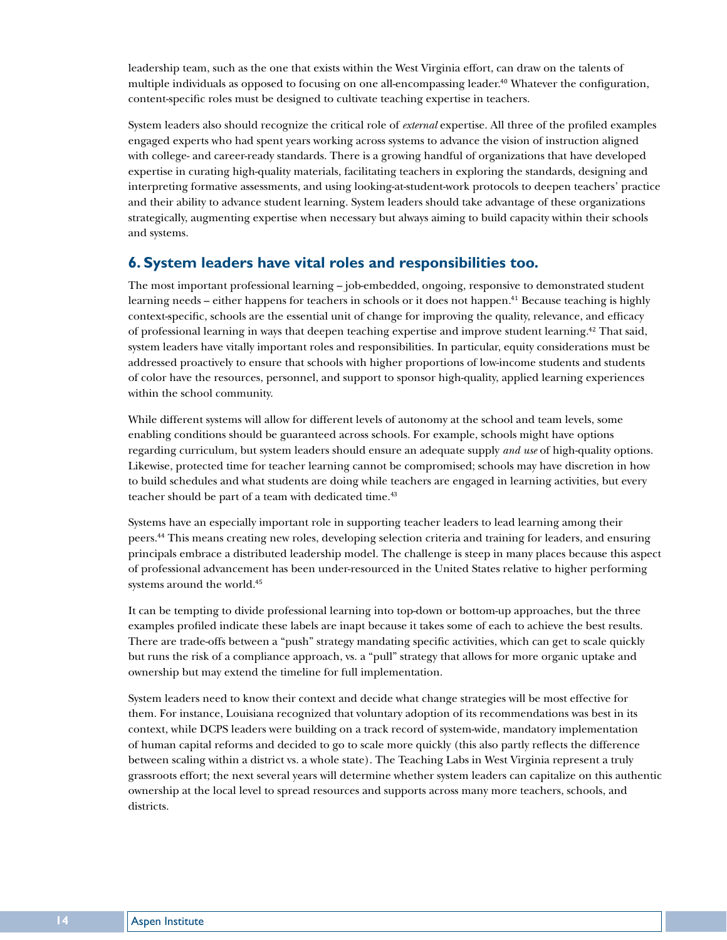leadership team, such as the one that exists within the West Virginia effort, can draw on the talents of multiple individuals as opposed to focusing on one all-encompassing leader.<sup>40</sup> Whatever the configuration, content-specific roles must be designed to cultivate teaching expertise in teachers.

System leaders also should recognize the critical role of *external* expertise. All three of the profiled examples engaged experts who had spent years working across systems to advance the vision of instruction aligned with college- and career-ready standards. There is a growing handful of organizations that have developed expertise in curating high-quality materials, facilitating teachers in exploring the standards, designing and interpreting formative assessments, and using looking-at-student-work protocols to deepen teachers' practice and their ability to advance student learning. System leaders should take advantage of these organizations strategically, augmenting expertise when necessary but always aiming to build capacity within their schools and systems.

#### **6. System leaders have vital roles and responsibilities too.**

The most important professional learning – job-embedded, ongoing, responsive to demonstrated student learning needs – either happens for teachers in schools or it does not happen.41 Because teaching is highly context-specific, schools are the essential unit of change for improving the quality, relevance, and efficacy of professional learning in ways that deepen teaching expertise and improve student learning.42 That said, system leaders have vitally important roles and responsibilities. In particular, equity considerations must be addressed proactively to ensure that schools with higher proportions of low-income students and students of color have the resources, personnel, and support to sponsor high-quality, applied learning experiences within the school community.

While different systems will allow for different levels of autonomy at the school and team levels, some enabling conditions should be guaranteed across schools. For example, schools might have options regarding curriculum, but system leaders should ensure an adequate supply *and use* of high-quality options. Likewise, protected time for teacher learning cannot be compromised; schools may have discretion in how to build schedules and what students are doing while teachers are engaged in learning activities, but every teacher should be part of a team with dedicated time.<sup>43</sup>

Systems have an especially important role in supporting teacher leaders to lead learning among their peers.44 This means creating new roles, developing selection criteria and training for leaders, and ensuring principals embrace a distributed leadership model. The challenge is steep in many places because this aspect of professional advancement has been under-resourced in the United States relative to higher performing systems around the world.<sup>45</sup>

It can be tempting to divide professional learning into top-down or bottom-up approaches, but the three examples profiled indicate these labels are inapt because it takes some of each to achieve the best results. There are trade-offs between a "push" strategy mandating specific activities, which can get to scale quickly but runs the risk of a compliance approach, vs. a "pull" strategy that allows for more organic uptake and ownership but may extend the timeline for full implementation.

System leaders need to know their context and decide what change strategies will be most effective for them. For instance, Louisiana recognized that voluntary adoption of its recommendations was best in its context, while DCPS leaders were building on a track record of system-wide, mandatory implementation of human capital reforms and decided to go to scale more quickly (this also partly reflects the difference between scaling within a district vs. a whole state). The Teaching Labs in West Virginia represent a truly grassroots effort; the next several years will determine whether system leaders can capitalize on this authentic ownership at the local level to spread resources and supports across many more teachers, schools, and districts.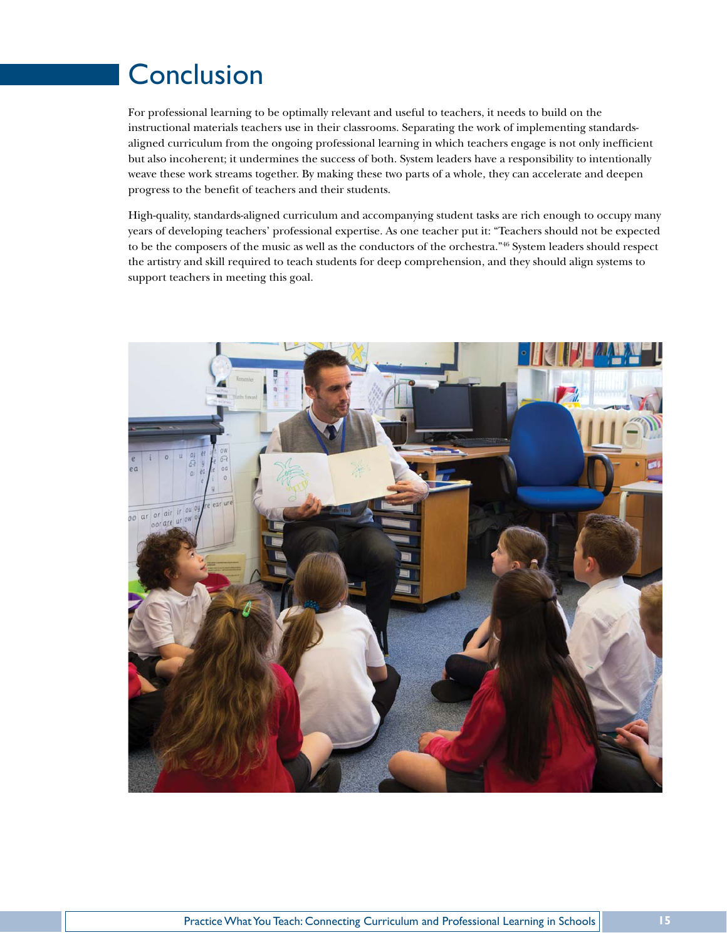# **Conclusion**

For professional learning to be optimally relevant and useful to teachers, it needs to build on the instructional materials teachers use in their classrooms. Separating the work of implementing standardsaligned curriculum from the ongoing professional learning in which teachers engage is not only inefficient but also incoherent; it undermines the success of both. System leaders have a responsibility to intentionally weave these work streams together. By making these two parts of a whole, they can accelerate and deepen progress to the benefit of teachers and their students.

High-quality, standards-aligned curriculum and accompanying student tasks are rich enough to occupy many years of developing teachers' professional expertise. As one teacher put it: "Teachers should not be expected to be the composers of the music as well as the conductors of the orchestra."46 System leaders should respect the artistry and skill required to teach students for deep comprehension, and they should align systems to support teachers in meeting this goal.

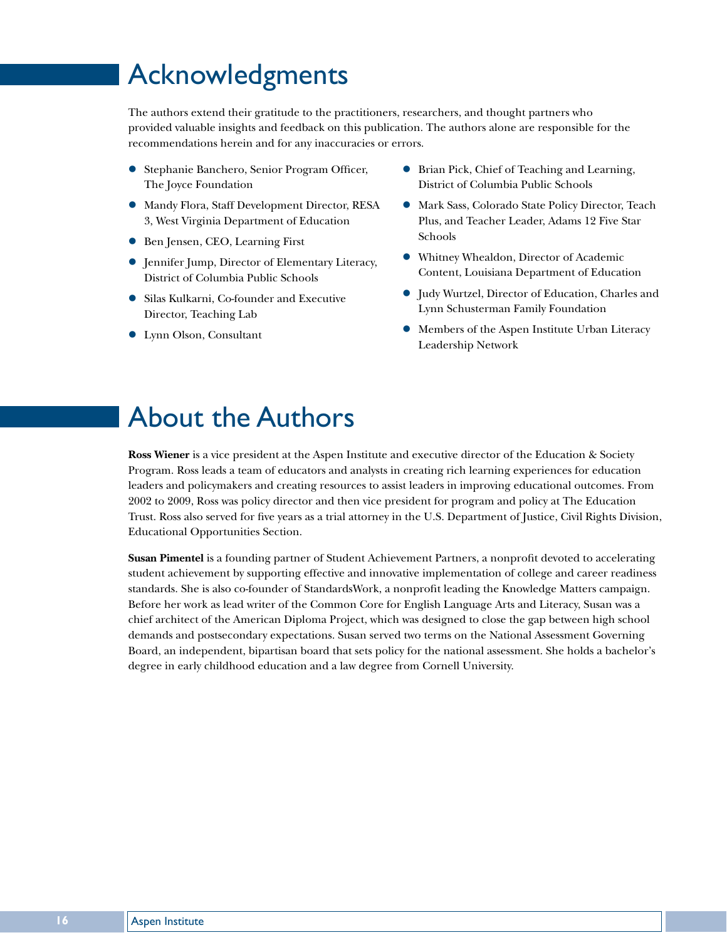# Acknowledgments

The authors extend their gratitude to the practitioners, researchers, and thought partners who provided valuable insights and feedback on this publication. The authors alone are responsible for the recommendations herein and for any inaccuracies or errors.

- **Stephanie Banchero, Senior Program Officer,** The Joyce Foundation
- $\bullet$  Mandy Flora, Staff Development Director, RESA 3, West Virginia Department of Education
- **Ben Jensen, CEO, Learning First**
- Jennifer Jump, Director of Elementary Literacy, District of Columbia Public Schools
- **•** Silas Kulkarni, Co-founder and Executive Director, Teaching Lab
- Lynn Olson, Consultant
- Brian Pick, Chief of Teaching and Learning, District of Columbia Public Schools
- $\bullet$  Mark Sass, Colorado State Policy Director, Teach Plus, and Teacher Leader, Adams 12 Five Star Schools
- Whitney Whealdon, Director of Academic Content, Louisiana Department of Education
- z Judy Wurtzel, Director of Education, Charles and Lynn Schusterman Family Foundation
- $\bullet$  Members of the Aspen Institute Urban Literacy Leadership Network

# About the Authors

**Ross Wiener** is a vice president at the Aspen Institute and executive director of the Education & Society Program. Ross leads a team of educators and analysts in creating rich learning experiences for education leaders and policymakers and creating resources to assist leaders in improving educational outcomes. From 2002 to 2009, Ross was policy director and then vice president for program and policy at The Education Trust. Ross also served for five years as a trial attorney in the U.S. Department of Justice, Civil Rights Division, Educational Opportunities Section.

**Susan Pimentel** is a founding partner of Student Achievement Partners, a nonprofit devoted to accelerating student achievement by supporting effective and innovative implementation of college and career readiness standards. She is also co-founder of StandardsWork, a nonprofit leading the Knowledge Matters campaign. Before her work as lead writer of the Common Core for English Language Arts and Literacy, Susan was a chief architect of the American Diploma Project, which was designed to close the gap between high school demands and postsecondary expectations. Susan served two terms on the National Assessment Governing Board, an independent, bipartisan board that sets policy for the national assessment. She holds a bachelor's degree in early childhood education and a law degree from Cornell University.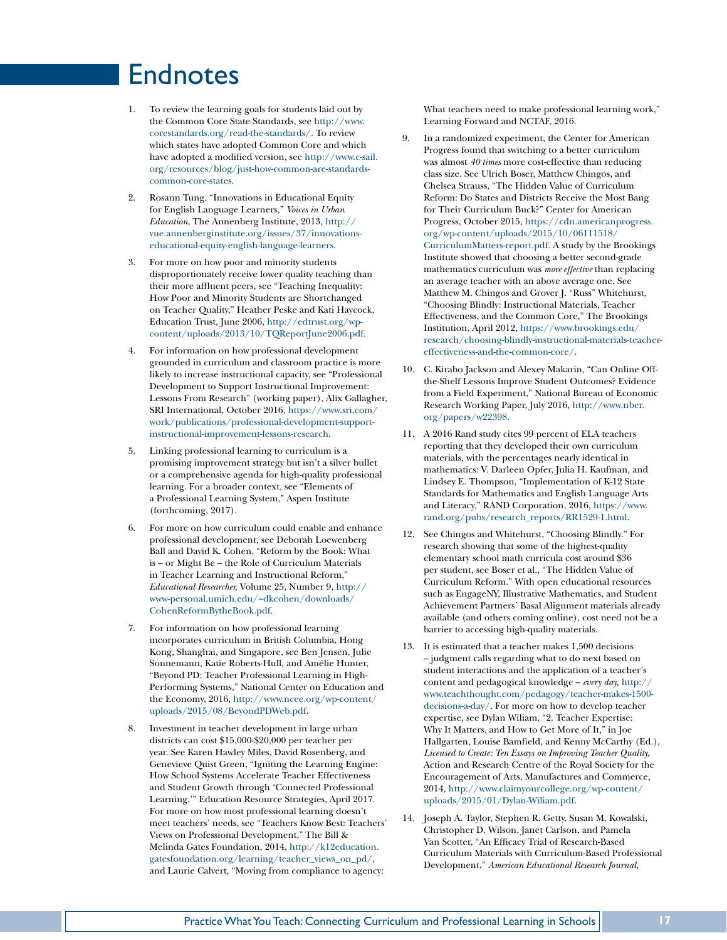# Endnotes

- 1. To review the learning goals for students laid out by the Common Core State Standards, see [http://www.](http://www.corestandards.org/read-the-standards/) [corestandards.org/read-the-standards/.](http://www.corestandards.org/read-the-standards/) To review which states have adopted Common Core and which have adopted a modified version, see [http://www.c-sail.](http://www.c-sail.org/resources/blog/just-how-common-are-standards-common-core-states) [org/resources/blog/just-how-common-are-standards](http://www.c-sail.org/resources/blog/just-how-common-are-standards-common-core-states)[common-core-states](http://www.c-sail.org/resources/blog/just-how-common-are-standards-common-core-states).
- 2. Rosann Tung, "Innovations in Educational Equity for English Language Learners," *Voices in Urban Education*, The Annenberg Institute, 2013, [http://](http://vue.annenberginstitute.org/issues/37/innovations-educational-equity-english-language-learners) [vue.annenberginstitute.org/issues/37/innovations](http://vue.annenberginstitute.org/issues/37/innovations-educational-equity-english-language-learners)[educational-equity-english-language-learners.](http://vue.annenberginstitute.org/issues/37/innovations-educational-equity-english-language-learners)
- 3. For more on how poor and minority students disproportionately receive lower quality teaching than their more affluent peers, see "Teaching Inequality: How Poor and Minority Students are Shortchanged on Teacher Quality," Heather Peske and Kati Haycock, Education Trust, June 2006, [http://edtrust.org/wp](http://edtrust.org/wp-content/uploads/2013/10/TQReportJune2006.pdf)[content/uploads/2013/10/TQReportJune2006.pdf](http://edtrust.org/wp-content/uploads/2013/10/TQReportJune2006.pdf).
- 4. For information on how professional development grounded in curriculum and classroom practice is more likely to increase instructional capacity, see "Professional Development to Support Instructional Improvement: Lessons From Research" (working paper), Alix Gallagher, SRI International, October 2016, [https://www.sri.com/](https://www.sri.com/work/publications/professional-development-support-instructional-improvement-lessons-research) [work/publications/professional-development-support](https://www.sri.com/work/publications/professional-development-support-instructional-improvement-lessons-research)[instructional-improvement-lessons-research.](https://www.sri.com/work/publications/professional-development-support-instructional-improvement-lessons-research)
- 5. Linking professional learning to curriculum is a promising improvement strategy but isn't a silver bullet or a comprehensive agenda for high-quality professional learning. For a broader context, see "Elements of a Professional Learning System," Aspen Institute (forthcoming, 2017).
- 6. For more on how curriculum could enable and enhance professional development, see Deborah Loewenberg Ball and David K. Cohen, "Reform by the Book: What is – or Might Be – the Role of Curriculum Materials in Teacher Learning and Instructional Reform," *Educational Researcher,* Volume 25, Number 9, [http://](http://www-personal.umich.edu/~dkcohen/downloads/CohenReformBytheBook.pdf) [www-personal.umich.edu/~dkcohen/downloads/](http://www-personal.umich.edu/~dkcohen/downloads/CohenReformBytheBook.pdf) [CohenReformBytheBook.pdf.](http://www-personal.umich.edu/~dkcohen/downloads/CohenReformBytheBook.pdf)
- 7. For information on how professional learning incorporates curriculum in British Columbia, Hong Kong, Shanghai, and Singapore, see Ben Jensen, Julie Sonnemann, Katie Roberts-Hull, and Amélie Hunter, "Beyond PD: Teacher Professional Learning in High-Performing Systems," National Center on Education and the Economy, 2016, [http://www.ncee.org/wp-content/](http://www.ncee.org/wp-content/uploads/2015/08/BeyondPDWeb.pdf) [uploads/2015/08/BeyondPDWeb.pdf](http://www.ncee.org/wp-content/uploads/2015/08/BeyondPDWeb.pdf).
- 8. Investment in teacher development in large urban districts can cost \$15,000-\$20,000 per teacher per year. See Karen Hawley Miles, David Rosenberg, and Genevieve Quist Green, "Igniting the Learning Engine: How School Systems Accelerate Teacher Effectiveness and Student Growth through 'Connected Professional Learning,'" Education Resource Strategies, April 2017. For more on how most professional learning doesn't meet teachers' needs, see "Teachers Know Best: Teachers' Views on Professional Development," The Bill & Melinda Gates Foundation, 2014, [http://k12education.](http://k12education.gatesfoundation.org/learning/teacher_views_on_pd/) [gatesfoundation.org/learning/teacher\\_views\\_on\\_pd/,](http://k12education.gatesfoundation.org/learning/teacher_views_on_pd/) and Laurie Calvert, "Moving from compliance to agency:

What teachers need to make professional learning work," Learning Forward and NCTAF, 2016.

- 9. In a randomized experiment, the Center for American Progress found that switching to a better curriculum was almost *40 times* more cost-effective than reducing class size. See Ulrich Boser, Matthew Chingos, and Chelsea Strauss, "The Hidden Value of Curriculum Reform: Do States and Districts Receive the Most Bang for Their Curriculum Buck?" Center for American Progress, October 2015, [https://cdn.americanprogress.](https://cdn.americanprogress.org/wp-content/uploads/2015/10/06111518/CurriculumMatters-report.pdf) [org/wp-content/uploads/2015/10/06111518/](https://cdn.americanprogress.org/wp-content/uploads/2015/10/06111518/CurriculumMatters-report.pdf) [CurriculumMatters-report.pdf.](https://cdn.americanprogress.org/wp-content/uploads/2015/10/06111518/CurriculumMatters-report.pdf) A study by the Brookings Institute showed that choosing a better second-grade mathematics curriculum was *more effective* than replacing an average teacher with an above average one. See Matthew M. Chingos and Grover J. "Russ" Whitehurst, "Choosing Blindly: Instructional Materials, Teacher Effectiveness, and the Common Core," The Brookings Institution, April 2012, [https://www.brookings.edu/](https://www.brookings.edu/research/choosing-blindly-instructional-materials-teacher-effectiveness-and-the-common-core/) [research/choosing-blindly-instructional-materials-teacher](https://www.brookings.edu/research/choosing-blindly-instructional-materials-teacher-effectiveness-and-the-common-core/)[effectiveness-and-the-common-core/](https://www.brookings.edu/research/choosing-blindly-instructional-materials-teacher-effectiveness-and-the-common-core/).
- 10. C. Kirabo Jackson and Alexey Makarin, "Can Online Offthe-Shelf Lessons Improve Student Outcomes? Evidence from a Field Experiment," National Bureau of Economic Research Working Paper, July 2016, [http://www.nber.](http://www.nber.org/papers/w22398) [org/papers/w22398](http://www.nber.org/papers/w22398).
- 11. A 2016 Rand study cites 99 percent of ELA teachers reporting that they developed their own curriculum materials, with the percentages nearly identical in mathematics: V. Darleen Opfer, Julia H. Kaufman, and Lindsey E. Thompson, "Implementation of K-12 State Standards for Mathematics and English Language Arts and Literacy," RAND Corporation, 2016, [https://www.](https://www.rand.org/pubs/research_reports/RR1529-1.html) [rand.org/pubs/research\\_reports/RR1529-1.html](https://www.rand.org/pubs/research_reports/RR1529-1.html).
- 12. See Chingos and Whitehurst, "Choosing Blindly." For research showing that some of the highest-quality elementary school math curricula cost around \$36 per student, see Boser et al., "The Hidden Value of Curriculum Reform." With open educational resources such as EngageNY, Illustrative Mathematics, and Student Achievement Partners' Basal Alignment materials already available (and others coming online), cost need not be a barrier to accessing high-quality materials.
- 13. It is estimated that a teacher makes 1,500 decisions – judgment calls regarding what to do next based on student interactions and the application of a teacher's content and pedagogical knowledge – *every day,* [http://](http://www.teachthought.com/pedagogy/teacher-makes-1500-decisions-a-day/) [www.teachthought.com/pedagogy/teacher-makes-1500](http://www.teachthought.com/pedagogy/teacher-makes-1500-decisions-a-day/) [decisions-a-day/.](http://www.teachthought.com/pedagogy/teacher-makes-1500-decisions-a-day/) For more on how to develop teacher expertise, see Dylan Wiliam, "2. Teacher Expertise: Why It Matters, and How to Get More of It," in Joe Hallgarten, Louise Bamfield, and Kenny McCarthy (Ed.), *Licensed to Create: Ten Essays on Improving Teacher Quality,*  Action and Research Centre of the Royal Society for the Encouragement of Arts, Manufactures and Commerce, 2014, [http://www.claimyourcollege.org/wp-content/](http://www.claimyourcollege.org/wp-content/uploads/2015/01/Dylan-Wiliam.pdf) [uploads/2015/01/Dylan-Wiliam.pdf.](http://www.claimyourcollege.org/wp-content/uploads/2015/01/Dylan-Wiliam.pdf)
- 14. Joseph A. Taylor, Stephen R. Getty, Susan M. Kowalski, Christopher D. Wilson, Janet Carlson, and Pamela Van Scotter, "An Efficacy Trial of Research-Based Curriculum Materials with Curriculum-Based Professional Development," *American Educational Research Journal,*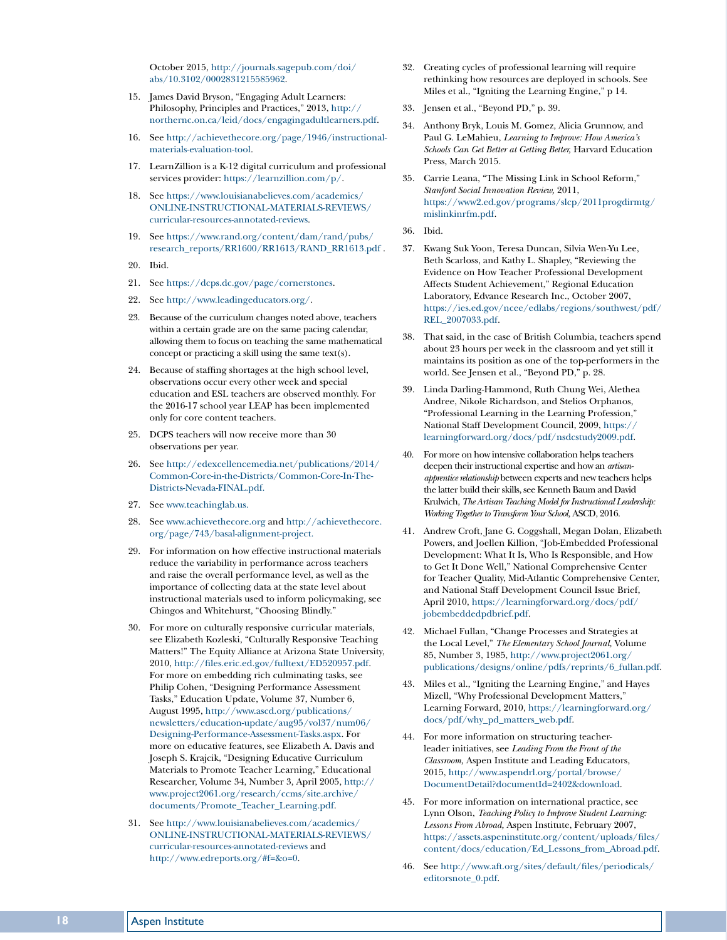October 2015, [http://journals.sagepub.com/doi/](http://journals.sagepub.com/doi/abs/10.3102/0002831215585962) [abs/10.3102/0002831215585962](http://journals.sagepub.com/doi/abs/10.3102/0002831215585962).

- 15. James David Bryson, "Engaging Adult Learners: Philosophy, Principles and Practices," 2013, [http://](http://northernc.on.ca/leid/docs/engagingadultlearners.pdf) [northernc.on.ca/leid/docs/engagingadultlearners.pdf](http://northernc.on.ca/leid/docs/engagingadultlearners.pdf).
- 16. See [http://achievethecore.org/page/1946/instructional](http://achievethecore.org/page/1946/instructional-materials-evaluation-tool)[materials-evaluation-tool](http://achievethecore.org/page/1946/instructional-materials-evaluation-tool).
- 17. LearnZillion is a K-12 digital curriculum and professional services provider: [https://learnzillion.com/p/.](https://learnzillion.com/p/)
- 18. See [https://www.louisianabelieves.com/academics/](https://www.louisianabelieves.com/academics/ONLINE-INSTRUCTIONAL-MATERIALS-REVIEWS/curricular-resources-annotated-reviews) [ONLINE-INSTRUCTIONAL-MATERIALS-REVIEWS/](https://www.louisianabelieves.com/academics/ONLINE-INSTRUCTIONAL-MATERIALS-REVIEWS/curricular-resources-annotated-reviews) [curricular-resources-annotated-reviews](https://www.louisianabelieves.com/academics/ONLINE-INSTRUCTIONAL-MATERIALS-REVIEWS/curricular-resources-annotated-reviews).
- 19. See [https://www.rand.org/content/dam/rand/pubs/](https://www.rand.org/content/dam/rand/pubs/research_reports/RR1600/RR1613/RAND_RR1613.pdf) [research\\_reports/RR1600/RR1613/RAND\\_RR1613.pdf](https://www.rand.org/content/dam/rand/pubs/research_reports/RR1600/RR1613/RAND_RR1613.pdf) .
- 20. Ibid.
- 21. See<https://dcps.dc.gov/page/cornerstones>.
- 22. See<http://www.leadingeducators.org/>.
- 23. Because of the curriculum changes noted above, teachers within a certain grade are on the same pacing calendar, allowing them to focus on teaching the same mathematical concept or practicing a skill using the same text(s).
- 24. Because of staffing shortages at the high school level, observations occur every other week and special education and ESL teachers are observed monthly. For the 2016-17 school year LEAP has been implemented only for core content teachers.
- 25. DCPS teachers will now receive more than 30 observations per year.
- 26. See [http://edexcellencemedia.net/publications/2014/](http://edexcellencemedia.net/publications/2014/Common-Core-in-the-Districts/Common-Core-In-The-Districts-Nevada-FINAL.pdf) [Common-Core-in-the-Districts/Common-Core-In-The-](http://edexcellencemedia.net/publications/2014/Common-Core-in-the-Districts/Common-Core-In-The-Districts-Nevada-FINAL.pdf)[Districts-Nevada-FINAL.pdf](http://edexcellencemedia.net/publications/2014/Common-Core-in-the-Districts/Common-Core-In-The-Districts-Nevada-FINAL.pdf).
- 27. See [www.teachinglab.us](http://www.teachinglab.us).
- 28. See [w](http://www.achievethecore.org)ww.achievethecore.org and [http://achievethecore.](http://achievethecore.org/page/743/basal-alignment-project) [org/page/743/basal-alignment-project](http://achievethecore.org/page/743/basal-alignment-project).
- 29. For information on how effective instructional materials reduce the variability in performance across teachers and raise the overall performance level, as well as the importance of collecting data at the state level about instructional materials used to inform policymaking, see Chingos and Whitehurst, "Choosing Blindly."
- 30. For more on culturally responsive curricular materials, see Elizabeth Kozleski, "Culturally Responsive Teaching Matters!" The Equity Alliance at Arizona State University, 2010, [http://files.eric.ed.gov/fulltext/ED520957.pdf.](http://files.eric.ed.gov/fulltext/ED520957.pdf) For more on embedding rich culminating tasks, see Philip Cohen, "Designing Performance Assessment Tasks," Education Update, Volume 37, Number 6, August 1995, [http://www.ascd.org/publications/](http://www.ascd.org/publications/newsletters/education-update/aug95/vol37/num06/Designing-Performance-Assessment-Tasks.aspx) [newsletters/education-update/aug95/vol37/num06/](http://www.ascd.org/publications/newsletters/education-update/aug95/vol37/num06/Designing-Performance-Assessment-Tasks.aspx) [Designing-Performance-Assessment-Tasks.aspx.](http://www.ascd.org/publications/newsletters/education-update/aug95/vol37/num06/Designing-Performance-Assessment-Tasks.aspx) For more on educative features, see Elizabeth A. Davis and Joseph S. Krajcik, "Designing Educative Curriculum Materials to Promote Teacher Learning," Educational Researcher, Volume 34, Number 3, April 2005, [http://](http://www.project2061.org/research/ccms/site.archive/documents/Promote_Teacher_Learning.pdf) [www.project2061.org/research/ccms/site.archive/](http://www.project2061.org/research/ccms/site.archive/documents/Promote_Teacher_Learning.pdf) [documents/Promote\\_Teacher\\_Learning.pdf](http://www.project2061.org/research/ccms/site.archive/documents/Promote_Teacher_Learning.pdf).
- 31. See [http://www.louisianabelieves.com/academics/](http://www.louisianabelieves.com/academics/ONLINE-INSTRUCTIONAL-MATERIALS-REVIEWS/curricular-resources-annotated-reviews) [ONLINE-INSTRUCTIONAL-MATERIALS-REVIEWS/](http://www.louisianabelieves.com/academics/ONLINE-INSTRUCTIONAL-MATERIALS-REVIEWS/curricular-resources-annotated-reviews) [curricular-resources-annotated-reviews](http://www.louisianabelieves.com/academics/ONLINE-INSTRUCTIONAL-MATERIALS-REVIEWS/curricular-resources-annotated-reviews) and [http://www.edreports.org/#f=&o=0.](http://www.edreports.org/#?f=&o=0)
- 32. Creating cycles of professional learning will require rethinking how resources are deployed in schools. See Miles et al., "Igniting the Learning Engine," p 14.
- 33. Jensen et al., "Beyond PD," p. 39.
- 34. Anthony Bryk, Louis M. Gomez, Alicia Grunnow, and Paul G. LeMahieu, *Learning to Improve: How America's Schools Can Get Better at Getting Better,* Harvard Education Press, March 2015.
- 35. Carrie Leana, "The Missing Link in School Reform," *Stanford Social Innovation Review,* 2011, [https://www2.ed.gov/programs/slcp/2011progdirmtg/](https://www2.ed.gov/programs/slcp/2011progdirmtg/mislinkinrfm.pdf) [mislinkinrfm.pdf](https://www2.ed.gov/programs/slcp/2011progdirmtg/mislinkinrfm.pdf).
- 36. Ibid.
- 37. Kwang Suk Yoon, Teresa Duncan, Silvia Wen-Yu Lee, Beth Scarloss, and Kathy L. Shapley, "Reviewing the Evidence on How Teacher Professional Development Affects Student Achievement," Regional Education Laboratory, Edvance Research Inc., October 2007, [https://ies.ed.gov/ncee/edlabs/regions/southwest/pdf/](https://ies.ed.gov/ncee/edlabs/regions/southwest/pdf/REL_2007033.pdf) [REL\\_2007033.pdf](https://ies.ed.gov/ncee/edlabs/regions/southwest/pdf/REL_2007033.pdf).
- 38. That said, in the case of British Columbia, teachers spend about 23 hours per week in the classroom and yet still it maintains its position as one of the top-performers in the world. See Jensen et al., "Beyond PD," p. 28.
- 39. Linda Darling-Hammond, Ruth Chung Wei, Alethea Andree, Nikole Richardson, and Stelios Orphanos, "Professional Learning in the Learning Profession," National Staff Development Council, 2009, [https://](https://learningforward.org/docs/pdf/nsdcstudy2009.pdf) [learningforward.org/docs/pdf/nsdcstudy2009.pdf.](https://learningforward.org/docs/pdf/nsdcstudy2009.pdf)
- 40. For more on how intensive collaboration helps teachers deepen their instructional expertise and how an *artisanapprentice relationship* between experts and new teachers helps the latter build their skills, see Kenneth Baum and David Krulwich, *The Artisan Teaching Model for Instructional Leadership: Working Together to Transform Your School,* ASCD, 2016.
- 41. Andrew Croft, Jane G. Coggshall, Megan Dolan, Elizabeth Powers, and Joellen Killion, "Job-Embedded Professional Development: What It Is, Who Is Responsible, and How to Get It Done Well," National Comprehensive Center for Teacher Quality, Mid-Atlantic Comprehensive Center, and National Staff Development Council Issue Brief, April 2010, [https://learningforward.org/docs/pdf/](https://learningforward.org/docs/pdf/jobembeddedpdbrief.pdf) [jobembeddedpdbrief.pdf.](https://learningforward.org/docs/pdf/jobembeddedpdbrief.pdf)
- 42. Michael Fullan, "Change Processes and Strategies at the Local Level," *The Elementary School Journal,* Volume 85, Number 3, 1985, [http://www.project2061.org/](http://www.project2061.org/publications/designs/online/pdfs/reprints/6_fullan.pdf) [publications/designs/online/pdfs/reprints/6\\_fullan.pdf.](http://www.project2061.org/publications/designs/online/pdfs/reprints/6_fullan.pdf)
- 43. Miles et al., "Igniting the Learning Engine," and Hayes Mizell, "Why Professional Development Matters," Learning Forward, 2010, [https://learningforward.org/](https://learningforward.org/docs/pdf/why_pd_matters_web.pdf) [docs/pdf/why\\_pd\\_matters\\_web.pdf.](https://learningforward.org/docs/pdf/why_pd_matters_web.pdf)
- 44. For more information on structuring teacherleader initiatives, see *Leading From the Front of the Classroom,* Aspen Institute and Leading Educators, 2015, [http://www.aspendrl.org/portal/browse/](http://www.aspendrl.org/portal/browse/DocumentDetail?documentId=2402&download) [DocumentDetail?documentId=2402&download](http://www.aspendrl.org/portal/browse/DocumentDetail?documentId=2402&download).
- 45. For more information on international practice, see Lynn Olson, *Teaching Policy to Improve Student Learning: Lessons From Abroad,* Aspen Institute, February 2007, [https://assets.aspeninstitute.org/content/uploads/files/](https://assets.aspeninstitute.org/content/uploads/files/content/docs/education/Ed_Lessons_from_Abroad.pdf) [content/docs/education/Ed\\_Lessons\\_from\\_Abroad.pdf.](https://assets.aspeninstitute.org/content/uploads/files/content/docs/education/Ed_Lessons_from_Abroad.pdf)
- 46. See [http://www.aft.org/sites/default/files/periodicals/](http://www.aft.org/sites/default/files/periodicals/editorsnote_0.pdf) [editorsnote\\_0.pdf.](http://www.aft.org/sites/default/files/periodicals/editorsnote_0.pdf)